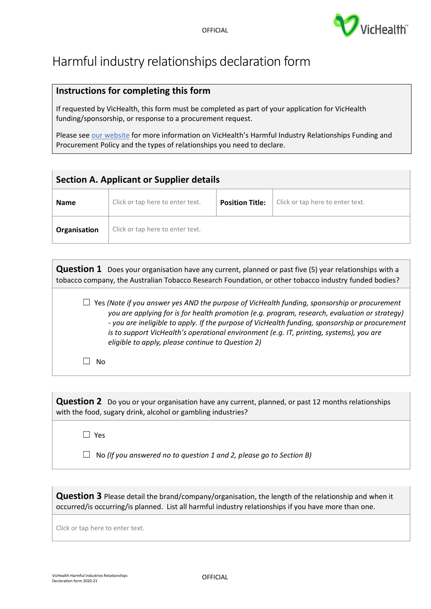

## Harmful industry relationships declaration form

## **Instructions for completing this form**

If requested by VicHealth, this form must be completed as part of your application for VicHealth funding/sponsorship, or response to a procurement request.

Please see [our website](https://www.vichealth.vic.gov.au/search/vichealth-harmful-industry-relationship-funding-and-procurement-policy) for more information on VicHealth's Harmful Industry Relationships Funding and Procurement Policy and the types of relationships you need to declare.

| <b>Section A. Applicant or Supplier details</b> |                                  |                        |                                  |  |  |
|-------------------------------------------------|----------------------------------|------------------------|----------------------------------|--|--|
| <b>Name</b>                                     | Click or tap here to enter text. | <b>Position Title:</b> | Click or tap here to enter text. |  |  |
| Organisation                                    | Click or tap here to enter text. |                        |                                  |  |  |

**Question 1** Does your organisation have any current, planned or past five (5) year relationships with a tobacco company, the Australian Tobacco Research Foundation, or other tobacco industry funded bodies?

☐ Yes *(Note if you answer yes AND the purpose of VicHealth funding, sponsorship or procurement you are applying for is for health promotion (e.g. program, research, evaluation or strategy) - you are ineligible to apply. If the purpose of VicHealth funding, sponsorship or procurement is to support VicHealth's operational environment (e.g. IT, printing, systems), you are eligible to apply, please continue to Question 2)*

 $\Box$  No

**Question 2** Do you or your organisation have any current, planned, or past 12 months relationships with the food, sugary drink, alcohol or gambling industries?

☐ Yes

☐ No *(If you answered no to question 1 and 2, please go to Section B)* 

**Question 3** Please detail the brand/company/organisation, the length of the relationship and when it occurred/is occurring/is planned. List all harmful industry relationships if you have more than one.

Click or tap here to enter text.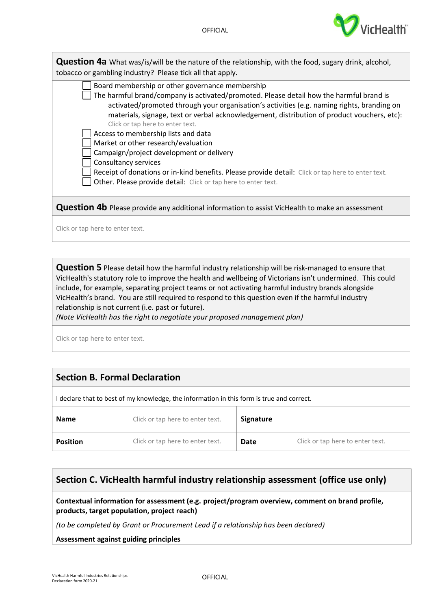| <b>Question 4a</b> What was/is/will be the nature of the relationship, with the food, sugary drink, alcohol,<br>tobacco or gambling industry? Please tick all that apply.                                                                                                                                                                                                                                                                                                                                                                                                                                                                                                                            |  |  |  |  |
|------------------------------------------------------------------------------------------------------------------------------------------------------------------------------------------------------------------------------------------------------------------------------------------------------------------------------------------------------------------------------------------------------------------------------------------------------------------------------------------------------------------------------------------------------------------------------------------------------------------------------------------------------------------------------------------------------|--|--|--|--|
| Board membership or other governance membership<br>The harmful brand/company is activated/promoted. Please detail how the harmful brand is<br>activated/promoted through your organisation's activities (e.g. naming rights, branding on<br>materials, signage, text or verbal acknowledgement, distribution of product vouchers, etc):<br>Click or tap here to enter text.<br>Access to membership lists and data<br>Market or other research/evaluation<br>Campaign/project development or delivery<br>Consultancy services<br>Receipt of donations or in-kind benefits. Please provide detail: Click or tap here to enter text.<br>Other. Please provide detail: Click or tap here to enter text. |  |  |  |  |
| <b>Question 4b</b> Please provide any additional information to assist VicHealth to make an assessment                                                                                                                                                                                                                                                                                                                                                                                                                                                                                                                                                                                               |  |  |  |  |
| Click or tap here to enter text.                                                                                                                                                                                                                                                                                                                                                                                                                                                                                                                                                                                                                                                                     |  |  |  |  |

**Question 5** Please detail how the harmful industry relationship will be risk-managed to ensure that VicHealth's statutory role to improve the health and wellbeing of Victorians isn't undermined. This could include, for example, separating project teams or not activating harmful industry brands alongside VicHealth's brand. You are still required to respond to this question even if the harmful industry relationship is not current (i.e. past or future).

*(Note VicHealth has the right to negotiate your proposed management plan)*

Click or tap here to enter text.

## **Section B. Formal Declaration**

I declare that to best of my knowledge, the information in this form is true and correct.

| <b>Name</b>     | Click or tap here to enter text. | Signature |                                  |
|-----------------|----------------------------------|-----------|----------------------------------|
| <b>Position</b> | Click or tap here to enter text. | Date      | Click or tap here to enter text. |

## **Section C. VicHealth harmful industry relationship assessment (office use only)**

**Contextual information for assessment (e.g. project/program overview, comment on brand profile, products, target population, project reach)** 

*(to be completed by Grant or Procurement Lead if a relationship has been declared)*

**Assessment against guiding principles**